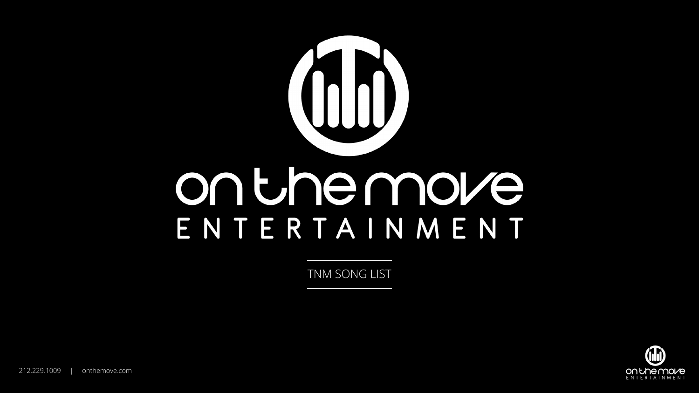

TNM SONG LIST



212.229.1009 | onthemove.com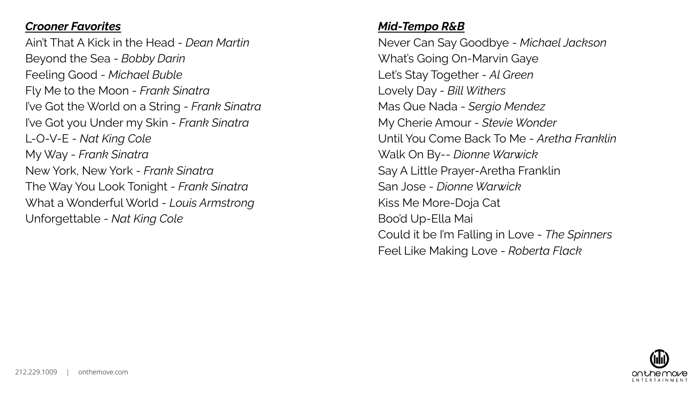#### *Crooner Favorites*

Ain't That A Kick in the Head - *Dean Martin* Beyond the Sea - *Bobby Darin* Feeling Good - *Michael Buble* Fly Me to the Moon - *Frank Sinatra* I've Got the World on a String - *Frank Sinatra* I've Got you Under my Skin - *Frank Sinatra* L-O-V-E - *Nat King Cole* My Way - *Frank Sinatra* New York, New York - *Frank Sinatra* The Way You Look Tonight - *Frank Sinatra* What a Wonderful World - *Louis Armstrong* Unforgettable - *Nat King Cole*

### *Mid-Tempo R&B*

Never Can Say Goodbye - *Michael Jackson* What's Going On-Marvin Gaye Let's Stay Together - *Al Green* Lovely Day - *Bill Withers* Mas Que Nada - *Sergio Mendez* My Cherie Amour - *Stevie Wonder* Until You Come Back To Me - *Aretha Franklin* Walk On By-- *Dionne Warwick* Say A Little Prayer-Aretha Franklin San Jose - *Dionne Warwick* Kiss Me More-Doja Cat Boo'd Up-Ella Mai Could it be I'm Falling in Love - *The Spinners* Feel Like Making Love - *Roberta Flack*

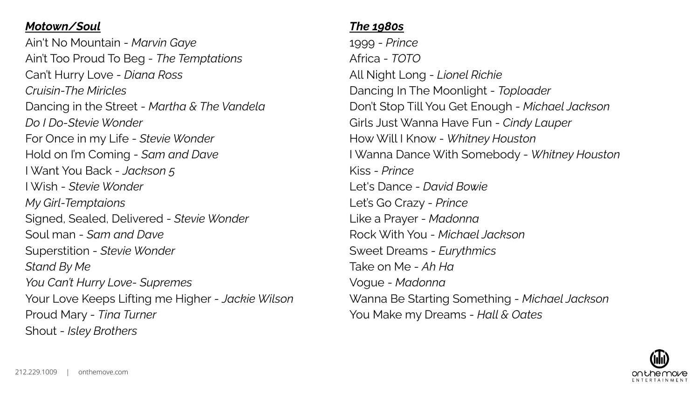## *Motown/Soul*

Ain't No Mountain - *Marvin Gaye* Ain't Too Proud To Beg - *The Temptations* Can't Hurry Love - *Diana Ross Cruisin-The Miricles* Dancing in the Street - *Martha & The Vandela Do I Do-Stevie Wonder* For Once in my Life - *Stevie Wonder* Hold on I'm Coming - *Sam and Dave* I Want You Back - *Jackson 5* I Wish - *Stevie Wonder My Girl-Temptaions* Signed, Sealed, Delivered - *Stevie Wonder* Soul man - *Sam and Dave* Superstition - *Stevie Wonder Stand By Me You Can't Hurry Love- Supremes* Your Love Keeps Lifting me Higher - *Jackie Wilson* Proud Mary - *Tina Turner* Shout - *Isley Brothers*

# *The 1980s*

1999 - *Prince* Africa - *TOTO* All Night Long - *Lionel Richie* Dancing In The Moonlight - *Toploader* Don't Stop Till You Get Enough - *Michael Jackson* Girls Just Wanna Have Fun - *Cindy Lauper* How Will I Know - *Whitney Houston* I Wanna Dance With Somebody - *Whitney Houston* Kiss - *Prince* Let's Dance - *David Bowie* Let's Go Crazy - *Prince* Like a Prayer - *Madonna* Rock With You - *Michael Jackson* Sweet Dreams - *Eurythmics* Take on Me - *Ah Ha* Vogue - *Madonna* Wanna Be Starting Something - *Michael Jackson* You Make my Dreams - *Hall & Oates*

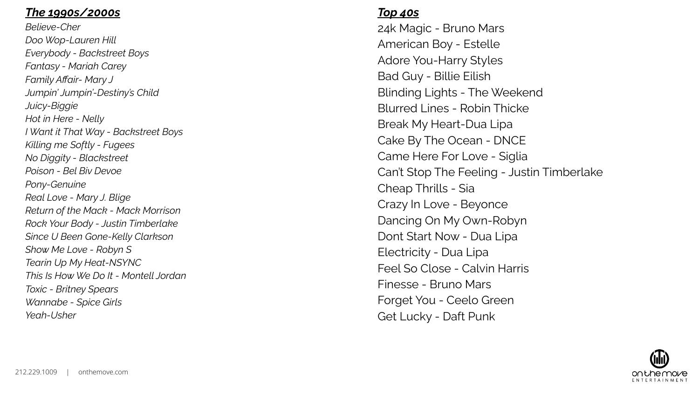#### *The 1990s/2000s*

*Believe-Cher Doo Wop-Lauren Hill Everybody - Backstreet Boys Fantasy - Mariah Carey Family Affair- Mary J Jumpin' Jumpin'-Destiny's Child Juicy-Biggie Hot in Here - Nelly I Want it That Way - Backstreet Boys Killing me Softly - Fugees No Diggity - Blackstreet Poison - Bel Biv Devoe Pony-Genuine Real Love - Mary J. Blige Return of the Mack - Mack Morrison Rock Your Body - Justin Timberlake Since U Been Gone-Kelly Clarkson Show Me Love - Robyn S Tearin Up My Heat-NSYNC This Is How We Do It - Montell Jordan Toxic - Britney Spears Wannabe - Spice Girls Yeah-Usher*

#### *Top 40s*

24k Magic - Bruno Mars American Boy - Estelle Adore You-Harry Styles Bad Guy - Billie Eilish Blinding Lights - The Weekend Blurred Lines - Robin Thicke Break My Heart-Dua Lipa Cake By The Ocean - DNCE Came Here For Love - Siglia Can't Stop The Feeling - Justin Timberlake Cheap Thrills - Sia Crazy In Love - Beyonce Dancing On My Own-Robyn Dont Start Now - Dua Lipa Electricity - Dua Lipa Feel So Close - Calvin Harris Finesse - Bruno Mars Forget You - Ceelo Green Get Lucky - Daft Punk

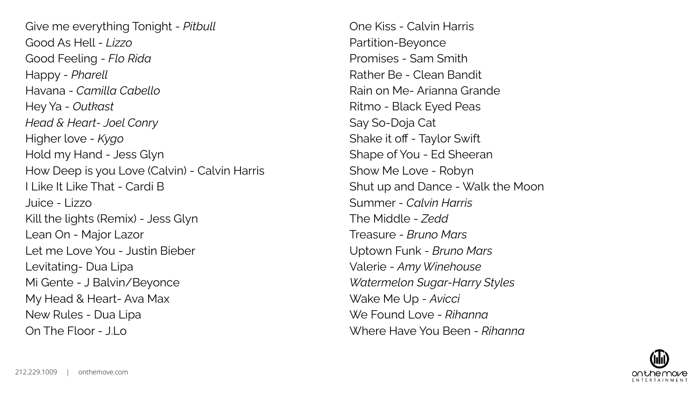Give me everything Tonight - *Pitbull* Good As Hell - *Lizzo* Good Feeling - *Flo Rida* Happy - *Pharell* Havana - *Camilla Cabello* Hey Ya - *Outkast Head & Heart- Joel Conry* Higher love - *Kygo* Hold my Hand - Jess Glyn How Deep is you Love (Calvin) - Calvin Harris I Like It Like That - Cardi B Juice - Lizzo Kill the lights (Remix) - Jess Glyn Lean On - Major Lazor Let me Love You - Justin Bieber Levitating- Dua Lipa Mi Gente - J Balvin/Beyonce My Head & Heart- Ava Max New Rules - Dua Lipa On The Floor - J.Lo

One Kiss - Calvin Harris Partition-Beyonce Promises - Sam Smith Rather Be - Clean Bandit Rain on Me- Arianna Grande Ritmo - Black Eyed Peas Say So-Doja Cat Shake it off - Taylor Swift Shape of You - Ed Sheeran Show Me Love - Robyn Shut up and Dance - Walk the Moon Summer - *Calvin Harris* The Middle - *Zedd* Treasure - *Bruno Mars* Uptown Funk - *Bruno Mars* Valerie - *Amy Winehouse Watermelon Sugar-Harry Styles* Wake Me Up - *Avicci* We Found Love - *Rihanna* Where Have You Been - *Rihanna*

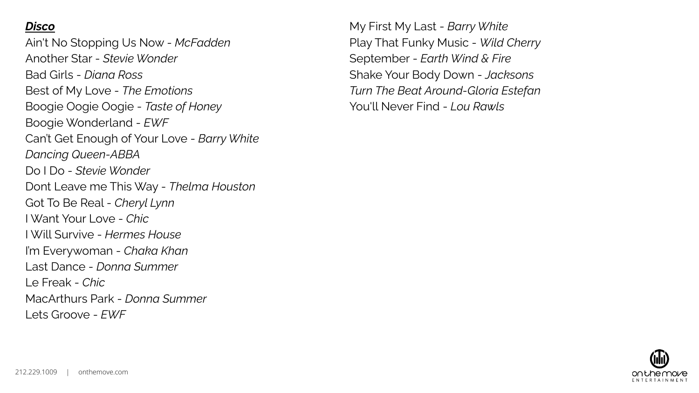## *Disco*

Ain't No Stopping Us Now - *McFadden* Another Star - *Stevie Wonder* Bad Girls - *Diana Ross* Best of My Love - *The Emotions* Boogie Oogie Oogie - *Taste of Honey* Boogie Wonderland - *EWF* Can't Get Enough of Your Love - *Barry White Dancing Queen-ABBA* Do I Do - *Stevie Wonder* Dont Leave me This Way - *Thelma Houston* Got To Be Real - *Cheryl Lynn* I Want Your Love - *Chic* I Will Survive - *Hermes House* I'm Everywoman - *Chaka Khan* Last Dance - *Donna Summer* Le Freak - *Chic* MacArthurs Park - *Donna Summer* Lets Groove - *EWF*

My First My Last - *Barry White* Play That Funky Music - *Wild Cherry* September - *Earth Wind & Fire* Shake Your Body Down - *Jacksons Turn The Beat Around-Gloria Estefan* You'll Never Find - *Lou Rawls*

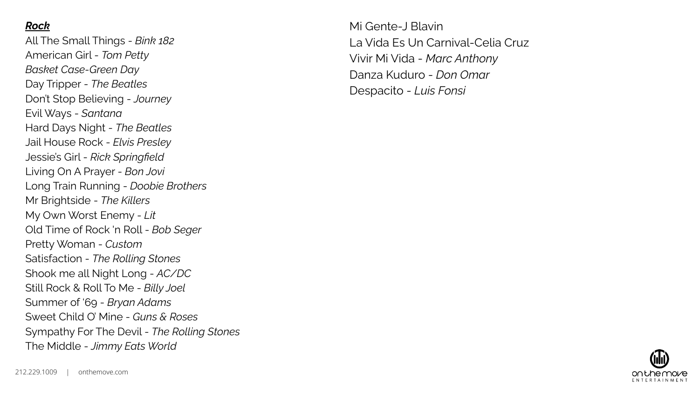#### *Rock*

All The Small Things - *Bink 182* American Girl - *Tom Petty Basket Case-Green Day* Day Tripper - *The Beatles* Don't Stop Believing - *Journey* Evil Ways - *Santana* Hard Days Night - *The Beatles* Jail House Rock - *Elvis Presley* Jessie's Girl - *Rick Springfield* Living On A Prayer - *Bon Jovi* Long Train Running - *Doobie Brothers* Mr Brightside - *The Killers* My Own Worst Enemy - *Lit* Old Time of Rock 'n Roll - *Bob Seger* Pretty Woman - *Custom* Satisfaction - *The Rolling Stones* Shook me all Night Long - *AC/DC* Still Rock & Roll To Me - *Billy Joel* Summer of '69 - *Bryan Adams* Sweet Child O' Mine - *Guns & Roses* Sympathy For The Devil - *The Rolling Stones* The Middle - *Jimmy Eats World*

Mi Gente-J Blavin La Vida Es Un Carnival-Celia Cruz Vivir Mi Vida - *Marc Anthony* Danza Kuduro - *Don Omar* Despacito - *Luis Fonsi*